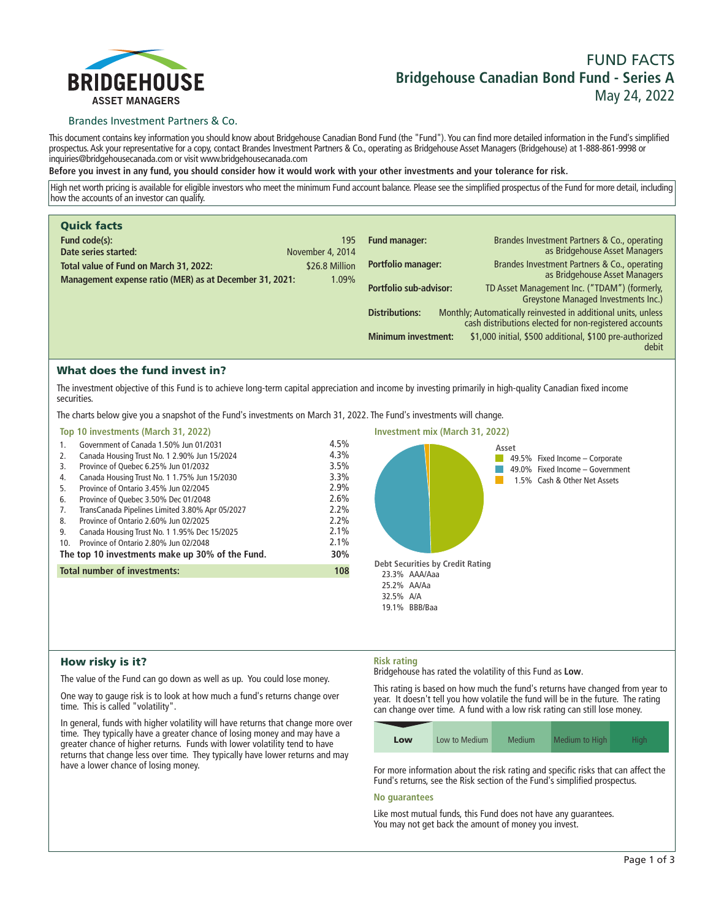

# **FUND FACTS Bridgehouse Canadian Bond Fund - Series A May 24, 2022**

## Brandes Investment Partners & Co.

**This document contains key information you should know about Bridgehouse Canadian Bond Fund (the "Fund"). You can find more detailed information in the Fund's simplified prospectus. Ask your representative for a copy, contact Brandes Investment Partners & Co., operating as Bridgehouse Asset Managers (Bridgehouse) at 1-888-861-9998 or inquiries@bridgehousecanada.com or visit www.bridgehousecanada.com**

**Before you invest in any fund, you should consider how it would work with your other investments and your tolerance for risk.**

**High net worth pricing is available for eligible investors who meet the minimum Fund account balance. Please see the simplified prospectus of the Fund for more detail, including how the accounts of an investor can qualify.**

| <b>Quick facts</b>                                      |                  |                            |                                                                                                                         |
|---------------------------------------------------------|------------------|----------------------------|-------------------------------------------------------------------------------------------------------------------------|
| Fund code(s):                                           | 195              | <b>Fund manager:</b>       | Brandes Investment Partners & Co., operating                                                                            |
| Date series started:                                    | November 4, 2014 |                            | as Bridgehouse Asset Managers                                                                                           |
| Total value of Fund on March 31, 2022:                  | \$26.8 Million   | <b>Portfolio manager:</b>  | Brandes Investment Partners & Co., operating<br>as Bridgehouse Asset Managers                                           |
| Management expense ratio (MER) as at December 31, 2021: | 1.09%            |                            |                                                                                                                         |
|                                                         |                  | Portfolio sub-advisor:     | TD Asset Management Inc. ("TDAM") (formerly,<br>Greystone Managed Investments Inc.)                                     |
|                                                         |                  | <b>Distributions:</b>      | Monthly; Automatically reinvested in additional units, unless<br>cash distributions elected for non-registered accounts |
|                                                         |                  | <b>Minimum investment:</b> | \$1,000 initial, \$500 additional, \$100 pre-authorized<br>debit                                                        |

# What does the fund invest in?

**The investment objective of this Fund is to achieve long-term capital appreciation and income by investing primarily in high-quality Canadian fixed income securities.**

**The charts below give you a snapshot of the Fund's investments on March 31, 2022. The Fund's investments will change.**

#### **Top 10 investments (March 31, 2022)**

| 1.                                              | Government of Canada 1.50% Jun 01/2031          | 4.5%    |
|-------------------------------------------------|-------------------------------------------------|---------|
| 2.                                              | Canada Housing Trust No. 1 2.90% Jun 15/2024    | 4.3%    |
| 3.                                              | Province of Quebec 6.25% Jun 01/2032            | 3.5%    |
| 4.                                              | Canada Housing Trust No. 1 1.75% Jun 15/2030    | 3.3%    |
| 5.                                              | Province of Ontario 3.45% Jun 02/2045           | 2.9%    |
| 6.                                              | Province of Quebec 3.50% Dec 01/2048            | 2.6%    |
| 7.                                              | TransCanada Pipelines Limited 3.80% Apr 05/2027 | $2.2\%$ |
| 8.                                              | Province of Ontario 2.60% Jun 02/2025           | 2.2%    |
| 9.                                              | Canada Housing Trust No. 1 1.95% Dec 15/2025    | 2.1%    |
| 10.                                             | Province of Ontario 2.80% Jun 02/2048           | 2.1%    |
| The top 10 investments make up 30% of the Fund. |                                                 | 30%     |
| <b>Total number of investments:</b>             |                                                 | 108     |
|                                                 |                                                 |         |



# How risky is it?

**The value of the Fund can go down as well as up. You could lose money.**

**One way to gauge risk is to look at how much a fund's returns change over time. This is called "volatility".**

**In general, funds with higher volatility will have returns that change more over time. They typically have a greater chance of losing money and may have a greater chance of higher returns. Funds with lower volatility tend to have returns that change less over time. They typically have lower returns and may have a lower chance of losing money.**

## **Risk rating**

**Bridgehouse has rated the volatility of this Fund as Low.**

**This rating is based on how much the fund's returns have changed from year to year. It doesn't tell you how volatile the fund will be in the future. The rating can change over time. A fund with a low risk rating can still lose money.**

| Low | Low to Medium | Medium | Medium to High | High. |
|-----|---------------|--------|----------------|-------|

**For more information about the risk rating and specific risks that can affect the Fund's returns, see the Risk section of the Fund's simplified prospectus.**

#### **No guarantees**

**Like most mutual funds, this Fund does not have any guarantees. You may not get back the amount of money you invest.**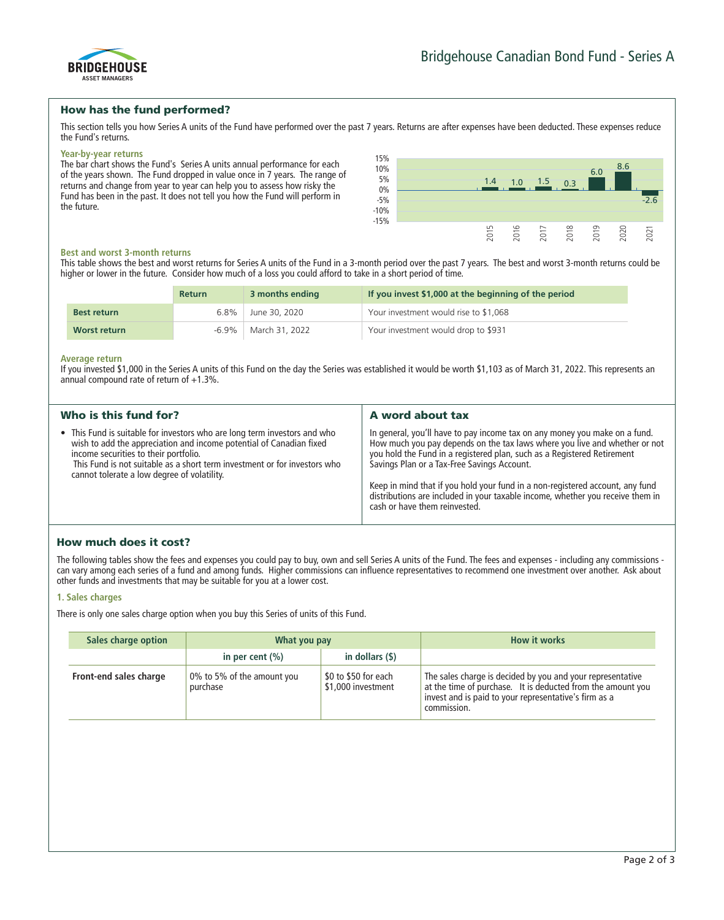

# How has the fund performed?

**This section tells you how Series A units of the Fund have performed over the past 7 years. Returns are after expenses have been deducted. These expenses reduce the Fund's returns.**

#### **Year-by-year returns**

**The bar chart shows the Fund's Series A units annual performance for each of the years shown. The Fund dropped in value once in 7 years. The range of returns and change from year to year can help you to assess how risky the Fund has been in the past. It does not tell you how the Fund will perform in the future.**



#### **Best and worst 3-month returns**

**This table shows the best and worst returns for Series A units of the Fund in a 3-month period over the past 7 years. The best and worst 3-month returns could be higher or lower in the future. Consider how much of a loss you could afford to take in a short period of time.**

|                    | <b>Return</b> | 3 months ending | If you invest \$1,000 at the beginning of the period |
|--------------------|---------------|-----------------|------------------------------------------------------|
| <b>Best return</b> | $6.8\%$       | June 30, 2020   | Your investment would rise to \$1,068                |
| Worst return       | $-6.9\%$      | March 31, 2022  | Your investment would drop to \$931                  |

#### **Average return**

**If you invested \$1,000 in the Series A units of this Fund on the day the Series was established it would be worth \$1,103 as of March 31, 2022. This represents an annual compound rate of return of +1.3%.**

| Who is this fund for?                                                                                                                                                                                                                                                                                                 | A word about tax                                                                                                                                                                                                                                                                                                                                                                                                                                                                       |
|-----------------------------------------------------------------------------------------------------------------------------------------------------------------------------------------------------------------------------------------------------------------------------------------------------------------------|----------------------------------------------------------------------------------------------------------------------------------------------------------------------------------------------------------------------------------------------------------------------------------------------------------------------------------------------------------------------------------------------------------------------------------------------------------------------------------------|
| • This Fund is suitable for investors who are long term investors and who<br>wish to add the appreciation and income potential of Canadian fixed<br>income securities to their portfolio.<br>This Fund is not suitable as a short term investment or for investors who<br>cannot tolerate a low degree of volatility. | In general, you'll have to pay income tax on any money you make on a fund.<br>How much you pay depends on the tax laws where you live and whether or not<br>you hold the Fund in a registered plan, such as a Registered Retirement<br>Savings Plan or a Tax-Free Savings Account.<br>Keep in mind that if you hold your fund in a non-registered account, any fund<br>distributions are included in your taxable income, whether you receive them in<br>cash or have them reinvested. |

# How much does it cost?

**The following tables show the fees and expenses you could pay to buy, own and sell Series A units of the Fund. The fees and expenses - including any commissions can vary among each series of a fund and among funds. Higher commissions can influence representatives to recommend one investment over another. Ask about other funds and investments that may be suitable for you at a lower cost.**

## **1. Sales charges**

**There is only one sales charge option when you buy this Series of units of this Fund.**

| Sales charge option    | What you pay                           |                                            | How it works                                                                                                                                                                                      |
|------------------------|----------------------------------------|--------------------------------------------|---------------------------------------------------------------------------------------------------------------------------------------------------------------------------------------------------|
|                        | in per cent $(\% )$                    | in dollars (\$)                            |                                                                                                                                                                                                   |
| Front-end sales charge | 0% to 5% of the amount you<br>purchase | \$0 to \$50 for each<br>\$1,000 investment | The sales charge is decided by you and your representative<br>at the time of purchase. It is deducted from the amount you<br>invest and is paid to your representative's firm as a<br>commission. |